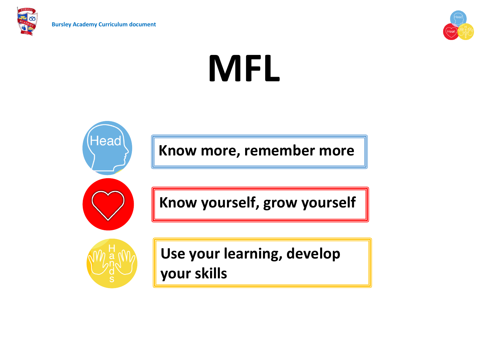



# **MFL**

**Know more, remember more**

**Know yourself, grow yourself**



Head

**Use your learning, develop your skills**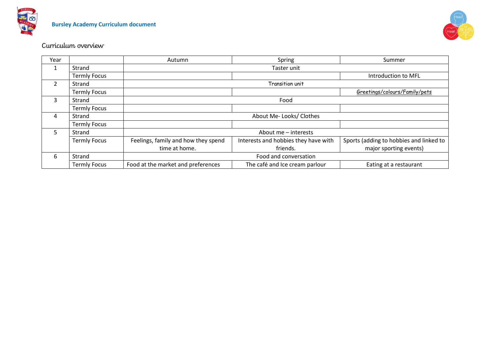



# Curriculum overview

| Year          |                     | Autumn                              | Spring                               | Summer                                  |
|---------------|---------------------|-------------------------------------|--------------------------------------|-----------------------------------------|
| 1             | Strand              | Taster unit                         |                                      |                                         |
|               | <b>Termly Focus</b> |                                     |                                      | Introduction to MFL                     |
| $\mathcal{P}$ | Strand              | Transition unit                     |                                      |                                         |
|               | <b>Termly Focus</b> |                                     |                                      | Greetings/colours/Family/pets           |
| 3             | Strand              | Food                                |                                      |                                         |
|               | <b>Termly Focus</b> |                                     |                                      |                                         |
| 4             | Strand              | About Me-Looks/ Clothes             |                                      |                                         |
|               | <b>Termly Focus</b> |                                     |                                      |                                         |
| 5.            | Strand              |                                     | About me - interests                 |                                         |
|               | <b>Termly Focus</b> | Feelings, family and how they spend | Interests and hobbies they have with | Sports (adding to hobbies and linked to |
|               |                     | time at home.                       | friends.                             | major sporting events)                  |
| 6             | Strand              | Food and conversation               |                                      |                                         |
|               | <b>Termly Focus</b> | Food at the market and preferences  | The café and Ice cream parlour       | Eating at a restaurant                  |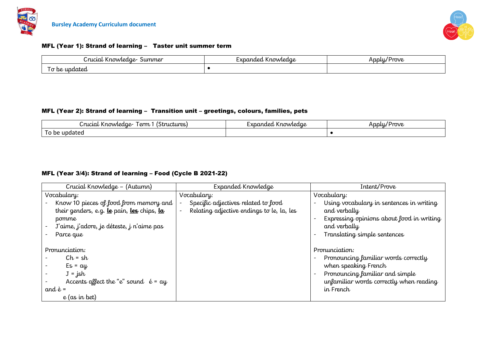



### MFL (Year 1): Strand of learning – Taster unit summer term

| Crucial Knowledge-<br>summer                         | Expanded Knowledae | Applu,<br>' Prove |
|------------------------------------------------------|--------------------|-------------------|
| $\overline{\phantom{a}}$<br>r undated<br>r De<br>. . |                    |                   |

### MFL (Year 2): Strand of learning – Transition unit – greetings, colours, families, pets

| 'rucial<br>(Structures)<br>I erm<br>. Knowledge- | <b>Yn</b><br>inded Knowledae | Prove<br>Applu |
|--------------------------------------------------|------------------------------|----------------|
| updated<br>be<br>ັ                               |                              |                |

### MFL (Year 3/4): Strand of learning – Food (Cycle B 2021-22)

| Crucial Knowledge - (Autumn)                                                                                                                                | Expanded Knowledge                                                               | Intent/Prove                                                                                                                                                                                                                      |
|-------------------------------------------------------------------------------------------------------------------------------------------------------------|----------------------------------------------------------------------------------|-----------------------------------------------------------------------------------------------------------------------------------------------------------------------------------------------------------------------------------|
| Vocabulary:                                                                                                                                                 | Vocabulary:                                                                      | Vocabulary:                                                                                                                                                                                                                       |
| Know 10 pieces of food from memory and $ $<br>their genders, e.g. le pain, les chips, la<br>pomme<br>J'aime, j'adore, je déteste, j n'aime pas<br>Parce que | Specific adjectives related to food<br>Relating adjective endings to le, la, les | Using vocabulary in sentences in writing<br>$\qquad \qquad$<br>and verbally<br>Expressing opinions about food in writing<br>and verbally<br>Translating simple sentences<br>$\overline{\phantom{0}}$                              |
| Pronunciation:<br>$Ch = sh$<br>$Es = ay$<br>$J = jsh$<br>Accents affect the "e" sound $\acute{e}$ = ay<br>and $\grave{e}$ =<br>$e$ (as in bet)              |                                                                                  | Pronunciation:<br>Pronouncing familiar words correctly<br>$\overline{\phantom{0}}$<br>when speaking French<br>Pronouncing familiar and simple<br>$\overline{\phantom{a}}$<br>unfamiliar words correctly when reading<br>in French |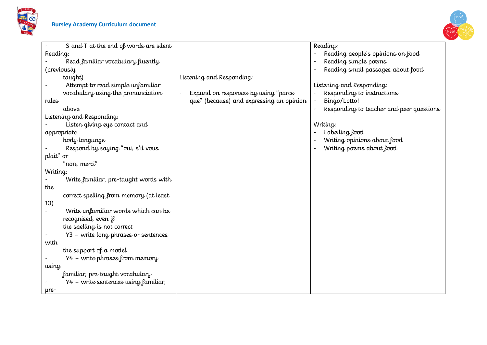



| S and $T$ at the end of words are silent<br>Reading:<br>Reading people's opinions on food<br>Reading:<br>Read familiar vocabulary fluently<br>Reading simple poems<br>Reading small passages about food<br>(previously<br>$\overline{\phantom{0}}$<br>Listening and Responding:<br>taught)<br>Attempt to read simple unfamiliar<br>Listening and Responding:<br>vocabulary using the pronunciation<br>Expand on responses by using "parce<br>Responding to instructions<br>Bingσ/Lotto!<br>que" (because) and expressing an opinion<br>rules<br>above<br>Responding to teacher and peer questions<br>Listening and Responding: |
|--------------------------------------------------------------------------------------------------------------------------------------------------------------------------------------------------------------------------------------------------------------------------------------------------------------------------------------------------------------------------------------------------------------------------------------------------------------------------------------------------------------------------------------------------------------------------------------------------------------------------------|
|                                                                                                                                                                                                                                                                                                                                                                                                                                                                                                                                                                                                                                |
|                                                                                                                                                                                                                                                                                                                                                                                                                                                                                                                                                                                                                                |
|                                                                                                                                                                                                                                                                                                                                                                                                                                                                                                                                                                                                                                |
|                                                                                                                                                                                                                                                                                                                                                                                                                                                                                                                                                                                                                                |
|                                                                                                                                                                                                                                                                                                                                                                                                                                                                                                                                                                                                                                |
|                                                                                                                                                                                                                                                                                                                                                                                                                                                                                                                                                                                                                                |
|                                                                                                                                                                                                                                                                                                                                                                                                                                                                                                                                                                                                                                |
|                                                                                                                                                                                                                                                                                                                                                                                                                                                                                                                                                                                                                                |
|                                                                                                                                                                                                                                                                                                                                                                                                                                                                                                                                                                                                                                |
|                                                                                                                                                                                                                                                                                                                                                                                                                                                                                                                                                                                                                                |
| Listen giving eye contact and<br>Writing:                                                                                                                                                                                                                                                                                                                                                                                                                                                                                                                                                                                      |
| Labelling food<br>appropriate                                                                                                                                                                                                                                                                                                                                                                                                                                                                                                                                                                                                  |
| Writing opinions about food<br>body language                                                                                                                                                                                                                                                                                                                                                                                                                                                                                                                                                                                   |
| Respond by saying "oui, s'il vous<br>Writing poems about food                                                                                                                                                                                                                                                                                                                                                                                                                                                                                                                                                                  |
| plait" or                                                                                                                                                                                                                                                                                                                                                                                                                                                                                                                                                                                                                      |
| "non, merci"                                                                                                                                                                                                                                                                                                                                                                                                                                                                                                                                                                                                                   |
| Writing:                                                                                                                                                                                                                                                                                                                                                                                                                                                                                                                                                                                                                       |
| Write familiar, pre-taught words with                                                                                                                                                                                                                                                                                                                                                                                                                                                                                                                                                                                          |
| the                                                                                                                                                                                                                                                                                                                                                                                                                                                                                                                                                                                                                            |
| correct spelling from memory (at least                                                                                                                                                                                                                                                                                                                                                                                                                                                                                                                                                                                         |
| 10)                                                                                                                                                                                                                                                                                                                                                                                                                                                                                                                                                                                                                            |
| Write unfamiliar words which can be<br>$\overline{\phantom{a}}$                                                                                                                                                                                                                                                                                                                                                                                                                                                                                                                                                                |
| recognised, even if                                                                                                                                                                                                                                                                                                                                                                                                                                                                                                                                                                                                            |
| the spelling is not correct                                                                                                                                                                                                                                                                                                                                                                                                                                                                                                                                                                                                    |
| Y3 - write long phrases or sentences                                                                                                                                                                                                                                                                                                                                                                                                                                                                                                                                                                                           |
| with                                                                                                                                                                                                                                                                                                                                                                                                                                                                                                                                                                                                                           |
| the support of a model                                                                                                                                                                                                                                                                                                                                                                                                                                                                                                                                                                                                         |
| Y4 - write phrases from memory                                                                                                                                                                                                                                                                                                                                                                                                                                                                                                                                                                                                 |
| using                                                                                                                                                                                                                                                                                                                                                                                                                                                                                                                                                                                                                          |
| familiar, pre-taught vocabulary                                                                                                                                                                                                                                                                                                                                                                                                                                                                                                                                                                                                |
| Y4 - write sentences using familiar,                                                                                                                                                                                                                                                                                                                                                                                                                                                                                                                                                                                           |
| pre                                                                                                                                                                                                                                                                                                                                                                                                                                                                                                                                                                                                                            |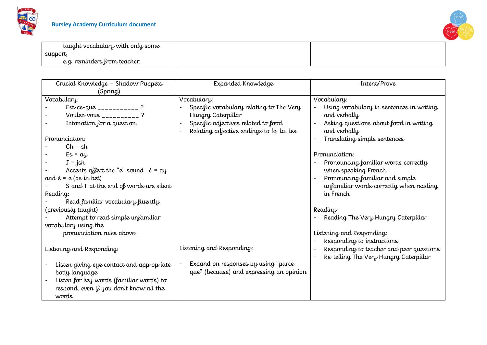



| taught vocabulary with only some  |  |
|-----------------------------------|--|
| support,                          |  |
| , reminders from teacher.<br>e.g. |  |

| Crucial Knowledge - Shadow Puppets<br>(Spring)                                                                                                                                                                                                                                                                                                                                                                                                                                                                                                                                                                                                       | Expanded Knowledge                                                                                                                                                                                                                                                                | Intent/Prove                                                                                                                                                                                                                                                                                                                                                                                                                                                                                                                                                         |
|------------------------------------------------------------------------------------------------------------------------------------------------------------------------------------------------------------------------------------------------------------------------------------------------------------------------------------------------------------------------------------------------------------------------------------------------------------------------------------------------------------------------------------------------------------------------------------------------------------------------------------------------------|-----------------------------------------------------------------------------------------------------------------------------------------------------------------------------------------------------------------------------------------------------------------------------------|----------------------------------------------------------------------------------------------------------------------------------------------------------------------------------------------------------------------------------------------------------------------------------------------------------------------------------------------------------------------------------------------------------------------------------------------------------------------------------------------------------------------------------------------------------------------|
| Vocabulary:<br>Est-ce-que ____________?<br>Voulez-vous __________?<br>Intonation for a question.<br>Pronunciation:<br>$Ch = sh$<br>$Es = ay$<br>$J = jsh$<br>Accents affect the "e" sound $\acute{e}$ = ay<br>and $\dot{e}$ = e (as in bet)<br>S and $T$ at the end of words are silent<br>Reading:<br>Read familiar vocabulary fluently<br>(previously taught)<br>Attempt to read simple unfamiliar<br>vocabulary using the<br>pronunciation rules above<br>Listening and Responding:<br>Listen giving eye contact and appropriate<br>body language<br>Listen for key words (familiar words) to<br>respond, even if you don't know all the<br>words | Vocabulary:<br>Specific vocabulary relating to The Very<br>Hungry Caterpillar<br>Specific adjectives related to food<br>Relating adjective endings to le, la, les<br>Listening and Responding:<br>Expand on responses by using "parce<br>que" (because) and expressing an opinion | Vocabulary:<br>Using vocabulary in sentences in writing<br>and verbally<br>Asking questions about food in writing<br>and verbally<br>Translating simple sentences<br>$\overline{a}$<br>Pronunciation:<br>Pronouncing familiar words correctly<br>when speaking French<br>Pronouncing familiar and simple<br>unfamiliar words correctly when reading<br>in French<br>Reading:<br>Reading The Very Hungry Caterpillar<br>Listening and Responding:<br>Responding to instructions<br>Responding to teacher and peer questions<br>Re-telling The Very Hungry Caterpillar |
|                                                                                                                                                                                                                                                                                                                                                                                                                                                                                                                                                                                                                                                      |                                                                                                                                                                                                                                                                                   |                                                                                                                                                                                                                                                                                                                                                                                                                                                                                                                                                                      |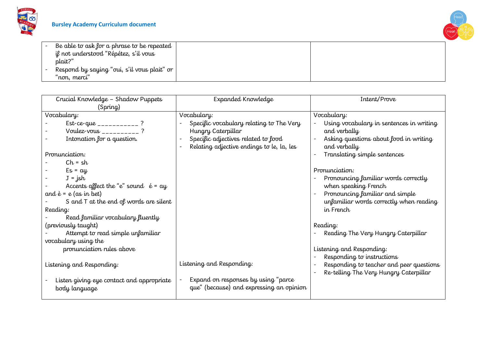



| Be able to ask for a phrase to be repeated         |  |
|----------------------------------------------------|--|
| il not understood "Répétez, s'il vous              |  |
| plait?"                                            |  |
| Respond by saying "oui, s'il vous plait" or $\mid$ |  |
| 'non, merci"                                       |  |

| Expanded Knowledge                                              | Intent/Prove                                                                                                                                                            |
|-----------------------------------------------------------------|-------------------------------------------------------------------------------------------------------------------------------------------------------------------------|
|                                                                 |                                                                                                                                                                         |
|                                                                 | Vocabulary:                                                                                                                                                             |
|                                                                 | Using vocabulary in sentences in writing                                                                                                                                |
| Hungry Caterpillar                                              | and verbally                                                                                                                                                            |
| Specific adjectives related to food<br>$\overline{\phantom{a}}$ | Asking questions about food in writing                                                                                                                                  |
| Relating adjective endings to le, la, les                       | and verbally                                                                                                                                                            |
|                                                                 | Translating simple sentences                                                                                                                                            |
|                                                                 |                                                                                                                                                                         |
|                                                                 | Pronunciation:                                                                                                                                                          |
|                                                                 | Pronouncing familiar words correctly                                                                                                                                    |
|                                                                 | when speaking French                                                                                                                                                    |
|                                                                 | Pronouncing familiar and simple                                                                                                                                         |
|                                                                 | unfamiliar words correctly when reading                                                                                                                                 |
|                                                                 | in French                                                                                                                                                               |
|                                                                 |                                                                                                                                                                         |
|                                                                 | Reading:                                                                                                                                                                |
|                                                                 | Reading The Very Hungry Caterpillar                                                                                                                                     |
|                                                                 |                                                                                                                                                                         |
|                                                                 | Listening and Responding:                                                                                                                                               |
|                                                                 | Responding to instructions                                                                                                                                              |
|                                                                 | Responding to teacher and peer questions                                                                                                                                |
|                                                                 | Re-telling The Very Hungry Caterpillar                                                                                                                                  |
|                                                                 |                                                                                                                                                                         |
|                                                                 |                                                                                                                                                                         |
|                                                                 |                                                                                                                                                                         |
|                                                                 | Vocabulary:<br>Specific vocabulary relating to The Very<br>Listening and Responding:<br>Expand on responses by using "parce<br>que" (because) and expressing an opinion |